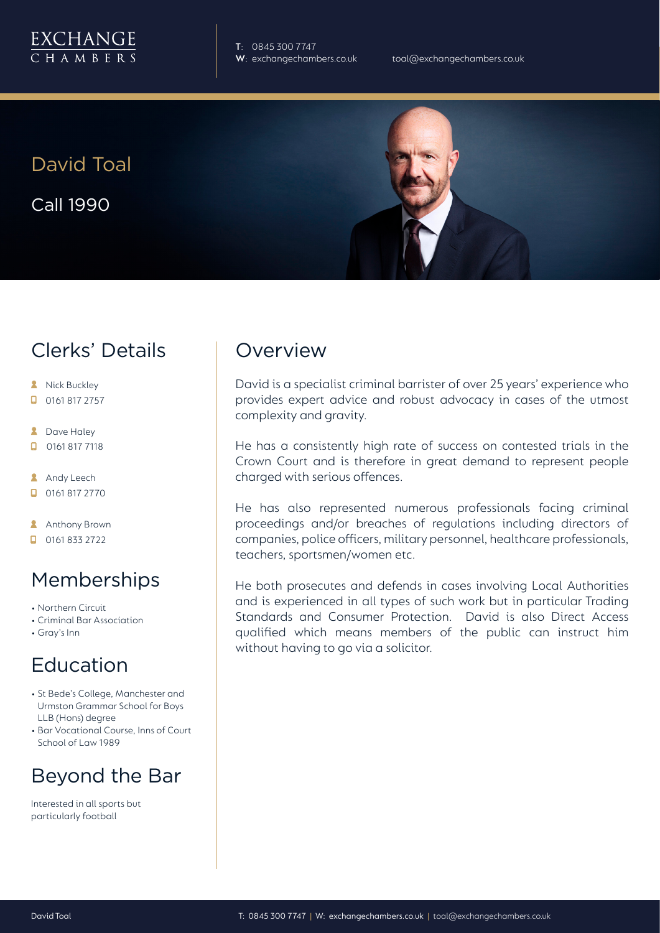

**T**: 0845 300 7747

David Toal

Call 1990



### Clerks' Details

- **A** Nick Buckley
- $\Box$  0161 817 2757
- **2** Dave Haley
- $\Box$ 0161 817 7118
- **Andy Leech**
- 0161 817 2770
- **Anthony Brown**
- $\Box$  0161 833 2722

# Memberships

- Northern Circuit
- Criminal Bar Association
- Gray's Inn

#### Education

- St Bede's College, Manchester and Urmston Grammar School for Boys LLB (Hons) degree
- Bar Vocational Course, Inns of Court School of Law 1989

# Beyond the Bar

Interested in all sports but particularly football

#### **Overview**

David is a specialist criminal barrister of over 25 years' experience who provides expert advice and robust advocacy in cases of the utmost complexity and gravity.

He has a consistently high rate of success on contested trials in the Crown Court and is therefore in great demand to represent people charged with serious offences.

He has also represented numerous professionals facing criminal proceedings and/or breaches of regulations including directors of companies, police officers, military personnel, healthcare professionals, teachers, sportsmen/women etc.

He both prosecutes and defends in cases involving Local Authorities and is experienced in all types of such work but in particular Trading Standards and Consumer Protection. David is also Direct Access qualified which means members of the public can instruct him without having to go via a solicitor.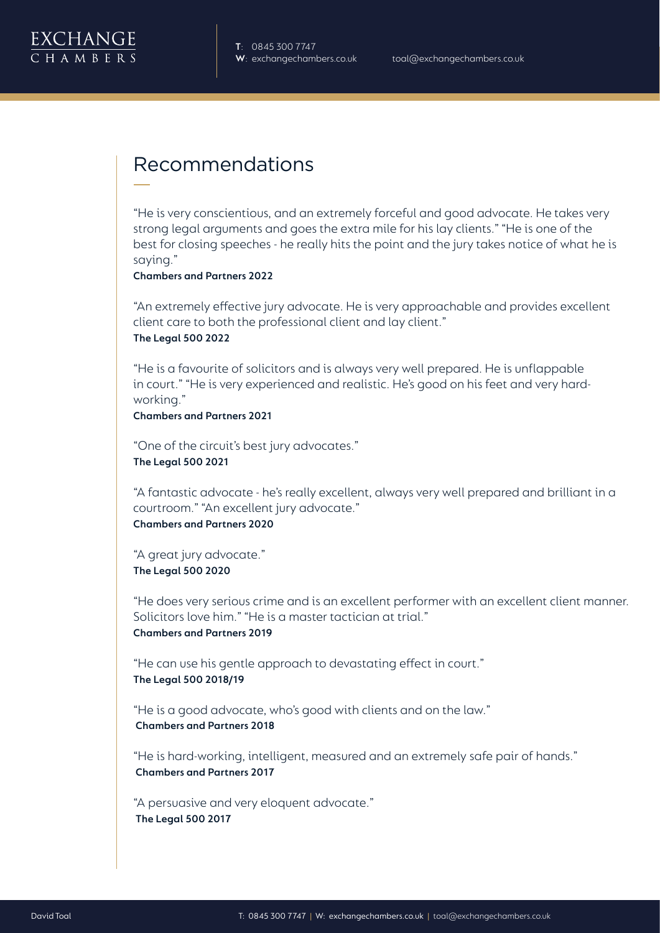

### Recommendations

"He is very conscientious, and an extremely forceful and good advocate. He takes very strong legal arguments and goes the extra mile for his lay clients." "He is one of the best for closing speeches - he really hits the point and the jury takes notice of what he is saying."

**Chambers and Partners 2022**

"An extremely effective jury advocate. He is very approachable and provides excellent client care to both the professional client and lay client." **The Legal 500 2022**

"He is a favourite of solicitors and is always very well prepared. He is unflappable in court." "He is very experienced and realistic. He's good on his feet and very hardworking."

**Chambers and Partners 2021**

"One of the circuit's best jury advocates." **The Legal 500 2021**

"A fantastic advocate - he's really excellent, always very well prepared and brilliant in a courtroom." "An excellent jury advocate." **Chambers and Partners 2020**

"A great jury advocate." **The Legal 500 2020**

"He does very serious crime and is an excellent performer with an excellent client manner. Solicitors love him." "He is a master tactician at trial." **Chambers and Partners 2019**

"He can use his gentle approach to devastating effect in court." **The Legal 500 2018/19** 

"He is a good advocate, who's good with clients and on the law." **Chambers and Partners 2018**

"He is hard-working, intelligent, measured and an extremely safe pair of hands." **Chambers and Partners 2017**

"A persuasive and very eloquent advocate." **The Legal 500 2017**